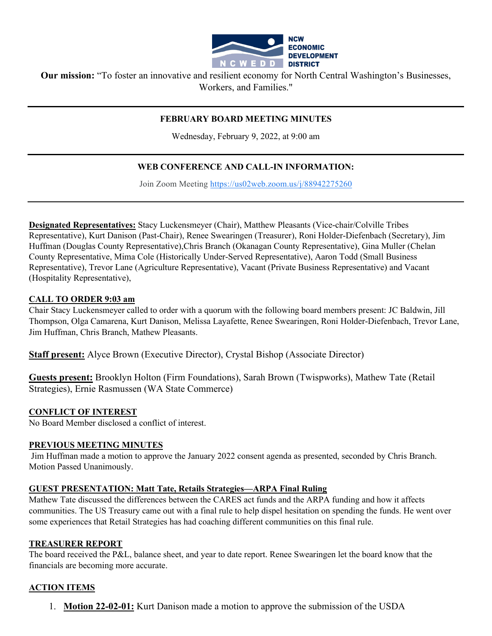

**Our mission:** "To foster an innovative and resilient economy for North Central Washington's Businesses, Workers, and Families."

## **FEBRUARY BOARD MEETING MINUTES**

Wednesday, February 9, 2022, at 9:00 am

## **WEB CONFERENCE AND CALL-IN INFORMATION:**

Join Zoom Meeting [https://us02web.zoom.us/j/88942275260](https://www.google.com/url?q=https://us02web.zoom.us/j/88942275260&sa=D&source=calendar&ust=1597623644231000&usg=AOvVaw0razd11iR42A_UfLivuZTv)

**Designated Representatives:** Stacy Luckensmeyer (Chair), Matthew Pleasants (Vice-chair/Colville Tribes Representative), Kurt Danison (Past-Chair), Renee Swearingen (Treasurer), Roni Holder-Diefenbach (Secretary), Jim Huffman (Douglas County Representative),Chris Branch (Okanagan County Representative), Gina Muller (Chelan County Representative, Mima Cole (Historically Under-Served Representative), Aaron Todd (Small Business Representative), Trevor Lane (Agriculture Representative), Vacant (Private Business Representative) and Vacant (Hospitality Representative),

### **CALL TO ORDER 9:03 am**

Chair Stacy Luckensmeyer called to order with a quorum with the following board members present: JC Baldwin, Jill Thompson, Olga Camarena, Kurt Danison, Melissa Layafette, Renee Swearingen, Roni Holder-Diefenbach, Trevor Lane, Jim Huffman, Chris Branch, Mathew Pleasants.

**Staff present:** Alyce Brown (Executive Director), Crystal Bishop (Associate Director)

**Guests present:** Brooklyn Holton (Firm Foundations), Sarah Brown (Twispworks), Mathew Tate (Retail Strategies), Ernie Rasmussen (WA State Commerce)

#### **CONFLICT OF INTEREST**

No Board Member disclosed a conflict of interest.

#### **PREVIOUS MEETING MINUTES**

Jim Huffman made a motion to approve the January 2022 consent agenda as presented, seconded by Chris Branch. Motion Passed Unanimously.

#### **GUEST PRESENTATION: Matt Tate, Retails Strategies—ARPA Final Ruling**

Mathew Tate discussed the differences between the CARES act funds and the ARPA funding and how it affects communities. The US Treasury came out with a final rule to help dispel hesitation on spending the funds. He went over some experiences that Retail Strategies has had coaching different communities on this final rule.

#### **TREASURER REPORT**

The board received the P&L, balance sheet, and year to date report. Renee Swearingen let the board know that the financials are becoming more accurate.

### **ACTION ITEMS**

1. **Motion 22-02-01:** Kurt Danison made a motion to approve the submission of the USDA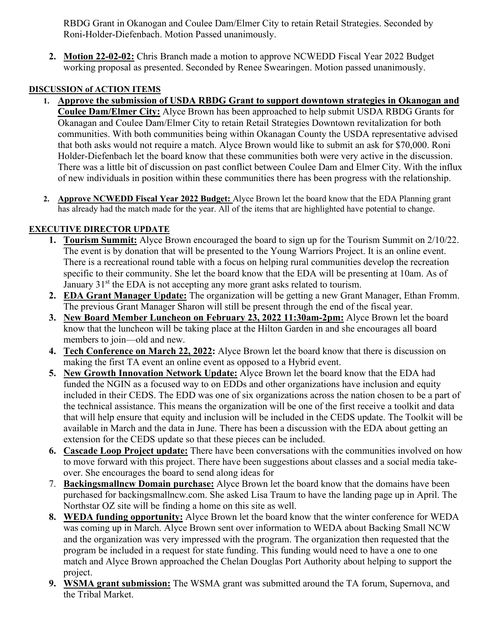RBDG Grant in Okanogan and Coulee Dam/Elmer City to retain Retail Strategies. Seconded by Roni-Holder-Diefenbach. Motion Passed unanimously.

**2. Motion 22-02-02:** Chris Branch made a motion to approve NCWEDD Fiscal Year 2022 Budget working proposal as presented. Seconded by Renee Swearingen. Motion passed unanimously.

# **DISCUSSION of ACTION ITEMS**

- **1. Approve the submission of USDA RBDG Grant to support downtown strategies in Okanogan and Coulee Dam/Elmer City:** Alyce Brown has been approached to help submit USDA RBDG Grants for Okanagan and Coulee Dam/Elmer City to retain Retail Strategies Downtown revitalization for both communities. With both communities being within Okanagan County the USDA representative advised that both asks would not require a match. Alyce Brown would like to submit an ask for \$70,000. Roni Holder-Diefenbach let the board know that these communities both were very active in the discussion. There was a little bit of discussion on past conflict between Coulee Dam and Elmer City. With the influx of new individuals in position within these communities there has been progress with the relationship.
- **2. Approve NCWEDD Fiscal Year 2022 Budget:** Alyce Brown let the board know that the EDA Planning grant has already had the match made for the year. All of the items that are highlighted have potential to change.

# **EXECUTIVE DIRECTOR UPDATE**

- **1. Tourism Summit:** Alyce Brown encouraged the board to sign up for the Tourism Summit on 2/10/22. The event is by donation that will be presented to the Young Warriors Project. It is an online event. There is a recreational round table with a focus on helping rural communities develop the recreation specific to their community. She let the board know that the EDA will be presenting at 10am. As of January 31<sup>st</sup> the EDA is not accepting any more grant asks related to tourism.
- **2. EDA Grant Manager Update:** The organization will be getting a new Grant Manager, Ethan Fromm. The previous Grant Manager Sharon will still be present through the end of the fiscal year.
- **3. New Board Member Luncheon on February 23, 2022 11:30am-2pm:** Alyce Brown let the board know that the luncheon will be taking place at the Hilton Garden in and she encourages all board members to join—old and new.
- **4. Tech Conference on March 22, 2022:** Alyce Brown let the board know that there is discussion on making the first TA event an online event as opposed to a Hybrid event.
- **5. New Growth Innovation Network Update:** Alyce Brown let the board know that the EDA had funded the NGIN as a focused way to on EDDs and other organizations have inclusion and equity included in their CEDS. The EDD was one of six organizations across the nation chosen to be a part of the technical assistance. This means the organization will be one of the first receive a toolkit and data that will help ensure that equity and inclusion will be included in the CEDS update. The Toolkit will be available in March and the data in June. There has been a discussion with the EDA about getting an extension for the CEDS update so that these pieces can be included.
- **6. Cascade Loop Project update:** There have been conversations with the communities involved on how to move forward with this project. There have been suggestions about classes and a social media takeover. She encourages the board to send along ideas for
- 7. **Backingsmallncw Domain purchase:** Alyce Brown let the board know that the domains have been purchased for backingsmallncw.com. She asked Lisa Traum to have the landing page up in April. The Northstar OZ site will be finding a home on this site as well.
- **8. WEDA funding opportunity:** Alyce Brown let the board know that the winter conference for WEDA was coming up in March. Alyce Brown sent over information to WEDA about Backing Small NCW and the organization was very impressed with the program. The organization then requested that the program be included in a request for state funding. This funding would need to have a one to one match and Alyce Brown approached the Chelan Douglas Port Authority about helping to support the project.
- **9. WSMA grant submission:** The WSMA grant was submitted around the TA forum, Supernova, and the Tribal Market.